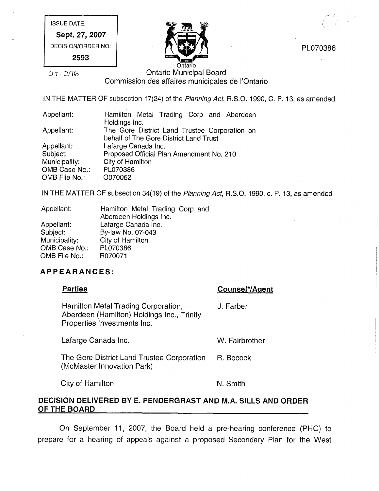ISSUE DATE: Sept. 27, 2007

DECISION/ORDER NO:

2593



PL070386

 ${\cal N} \int_{\cal X} \chi^2_{\mu\nu} \psi <0$ 

# $O(1 - 296)$  Ontario Municipal Board Commission des affaires municipales de I'Ontario

IN THE MATTER OF subsection 17(24) of the Planning Act, R.S.O. 1990, C. P. 13, as amended

| Appellant:    | Hamilton Metal Trading Corp and Aberdeen      |  |  |
|---------------|-----------------------------------------------|--|--|
|               | Holdings Inc.                                 |  |  |
| Appellant:    | The Gore District Land Trustee Corporation on |  |  |
|               | behalf of The Gore District Land Trust        |  |  |
| Appellant:    | Lafarge Canada Inc.                           |  |  |
| Subject:      | Proposed Official Plan Amendment No. 210      |  |  |
| Municipality: | City of Hamilton                              |  |  |
| OMB Case No.: | PL070386                                      |  |  |
| OMB File No.: | O070052                                       |  |  |

IN THE MATTER OF subsection 34(19) of the Planning Act, R.S.O. 1990, c. P. 13, as amended

| Appellant:    | Hamilton Metal Trading Corp and |
|---------------|---------------------------------|
|               | Aberdeen Holdings Inc.          |
| Appellant:    | Lafarge Canada Inc.             |
| Subject:      | By-law No. 07-043               |
| Municipality: | City of Hamilton                |
| OMB Case No.: | PL070386                        |
| OMB File No.: | R070071                         |

# APPEARANCES:

| <b>Parties</b>                                                                                                   | Counsel*/Agent |
|------------------------------------------------------------------------------------------------------------------|----------------|
| Hamilton Metal Trading Corporation,<br>Aberdeen (Hamilton) Holdings Inc., Trinity<br>Properties Investments Inc. | J. Farber      |
| Lafarge Canada Inc.                                                                                              | W. Fairbrother |
| The Gore District Land Trustee Corporation<br>(McMaster Innovation Park)                                         | R. Bocock      |

City of Hamilton N. Smith

# DECISION DELIVERED BY E. PENDERGRAST AND M.A. SILLS AND ORDER OF THE BOARD

On September 11, 2007, the Board held a pre-hearing conference (PHC) to prepare for a hearing of appeals against a proposed Secondary Plan for the West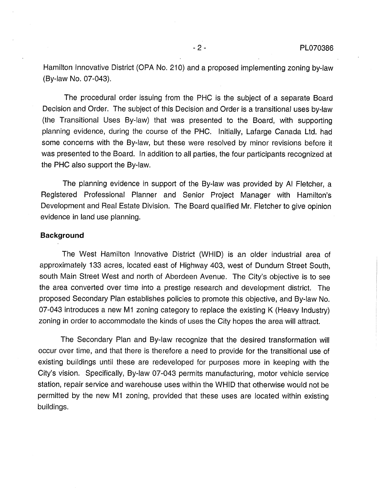Hamilton Innovative District (OPA No. 210) and a proposed implementing zoning by-law (By-law No. 07-043).

The procedural order issuing from the PHC is the subject of a separate Board Decision and Order. The subject of this Decision and Order is a transitional uses by-law (the Transitional Uses By-law) that was presented to the Board, with supporting planning evidence, during the course of the PHC. Initially, Lafarge Canada Ltd. had some concerns with the By-law, but these were resolved by minor revisions before it was presented to the Board. In addition to all parties, the four participants recognized at the PHC also support the By-law.

The planning evidence in support of the By-law was provided by AI Fletcher, a Registered Professional Planner and Senior Project Manager with Hamilton's Development and Real Estate Division. The Board qualified Mr. Fletcher to give opinion evidence in land use planning.

## **Background**

The West Hamilton Innovative District (WHID) is an older industrial area of approximately 133 acres, located east of Highway 403, west of Dundurn Street South, south Main Street West and north of Aberdeen Avenue. The City's objective is to see the area converted over time into a prestige research and development district. The proposed Secondary Plan establishes policies to promote this objective, and By-law No. 07-043 introduces a new M1 zoning category to replace the existing K (Heavy Industry) zoning in order to accommodate the kinds of uses the City hopes the area will attract.

The Secondary Plan and By-law recognize that the desired transformation will occur over time, and that there is therefore a need to provide for the transitional use of existing buildings until these are redeveloped for purposes more in keeping with the City's vision. Specifically, By-law 07-043 permits manufacturing, motor vehicle service station, repair service and warehouse uses within the WHID that otherwise would not be permitted by the new M1 zoning, provided that these uses are located within existing buildings.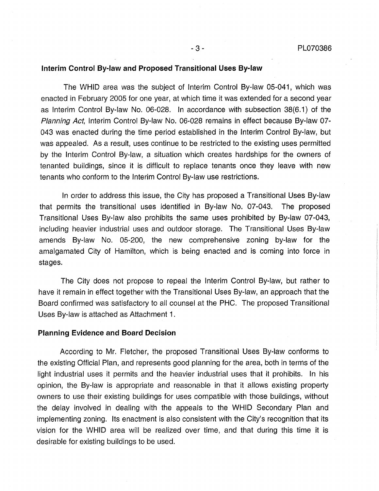### Interim Control By-law and Proposed Transitional Uses By-law

The WHID area was the subject of Interim Control By-law 05-041, which was enacted in February 2005 for one year, at which time it was extended for a second year as Interim Control By-law No. 06-028. In accordance with subsection 38(6.1) of the Planning Act, Interim Control By-law No. 06-028 remains in effect because By-law 07- 043 was enacted during the time period established in the Interim Control By-law, but was appealed. As a result, uses continue to be restricted to the existing uses permitted by the Interim Control By-law, a situation which creates hardships for the owners of tenanted buildings, since it is difficult to replace tenants once they leave with new tenants who conform to the Interim Control By-law use restrictions.

In order to address this issue, the City has proposed a Transitional Uses By-law that permits the transitional uses identified in By-law No. 07-043. The proposed Transitional Uses By-law also prohibits the same uses prohibited by By-law 07-043, including heavier industrial uses and outdoor storage. The Transitional Uses By-law amends By-law No. 05-200, the new comprehensive zoning by-law for the amalgamated City of Hamilton, which is being enacted and is coming into force in stages.

The City does not propose to repeal the Interim Control By-law, but rather to have it remain in effect together with the Transitional Uses By-law, an approach that the Board confirmed was satisfactory to all counsel at the PHC. The proposed Transitional Uses By-law is attached as Attachment 1.

#### Planning Evidence and Board Decision

According to Mr. Fletcher, the proposed Transitional Uses By-law conforms to the existing Official Plan, and represents good planning for the area, both in terms of the light industrial uses it permits and the heavier industrial uses that it prohibits. In his opinion, the By-law is appropriate and reasonable in that it allows existing property owners to use their existing buildings for uses compatible with those buildings, without the delay involved in dealing with the appeals to the WHID Secondary Plan and implementing zoning. Its enactment is also consistent with the City's recognition that its vision for the WHID area will be realized over time, and that during this time it is desirable for existing buildings to be used.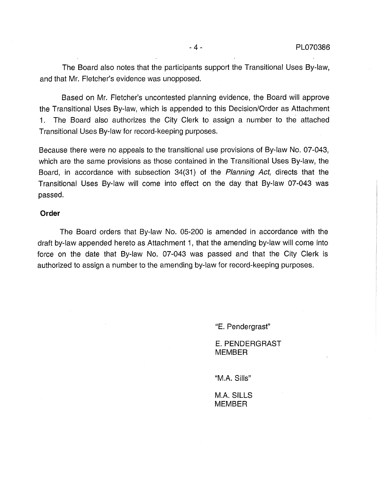The Board also notes that the participants support the Transitional Uses By-law, and that Mr. Fletcher's evidence was unopposed.

Based on Mr. Fletcher's uncontested planning evidence, the Board will approve the Transitional Uses By-law, which is appended to this Decision/Order as Attachment 1. The Board also authorizes the City Clerk to assign a number to the attached Transitional Uses By-law for record-keeping purposes.

Because there were no appeals to the transitional use provisions of By-law No. 07-043, which are the same provisions as those contained in the Transitional Uses By-law, the Board, in accordance with subsection 34(31) of the Planning Act, directs that the Transitional Uses By-law will come into effect on the day that By-law 07-043 was passed.

#### Order

The Board orders that By-law No. 05-200 is amended in accordance with the draft by-law appended hereto as Attachment 1, that the amending by-law will come into force on the date that By-law No. 07-043 was passed and that the City Clerk is authorized to assign a number to the amending by-law for record-keeping purposes.

"E. Pendergrast"

E. PENDERGRAST MEMBER

"M.A. Sills"

M.A. SILLS MEMBER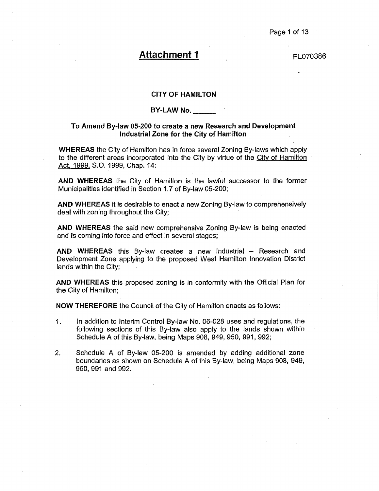# Attachment 1 PL070386

#### CITY OF HAMILTON

#### BY-LAW No.

#### To Amend By-law 05-200 to create a new Research and Development Industrial Zone for the City of Hamilton

WHEREAS the City of Hamilton has in force several Zoning By-laws which apply to the different areas incorporated into the City by virtue of the City of Hamilton Act, 1999, S.O. 1999, Chap. 14;

AND WHEREAS the City of Hamilton is the lawful successor to the former Municipalities identified in Section 1.7 of By-law 05-200;

AND WHEREAS it is desirable to enact a new Zoning By-law to comprehensively deal with zoning throughout the City;

AND WHEREAS the said new comprehensive Zoning By-law is being enacted and is coming into force and effect in several stages;

AND WHEREAS this By-law creates a new Industrial - Research and Development Zone applying to the proposed West Hamilton Innovation District lands within the City;

AND WHEREAS this proposed zoning is in conformity with the Official Plan for the City of Hamilton;

NOW THEREFORE the Council of the City of Hamilton enacts as follows:

- . In addition to Interim Control By-law No. 06-028 uses and regulations, the following sections of this By-law also apply to the lands shown within Schedule A of this By-law, being Maps 908, 949, 950, 991, 992;
- . Schedule A of By-law 05-200 is amended by adding additional zone boundaries as shown on Schedule A of this By-law, being Maps 908, 949, 950, 991 and 992.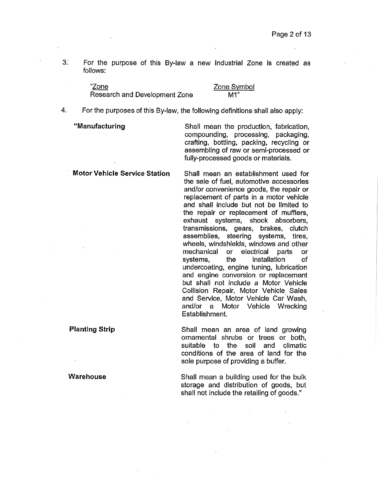3. For the purpose of this By-law a new Industrial Zone is created as follows:

> "Zone Research and Development Zone

#### Zone Symbol M<sup>"</sup>

, For the purposes of this By-law, the following definitions shall also apply:

"Manufacturing Shall mean the production, fabrication, compounding, processing, packaging, crafting, bottling, packing, recycling or assembling of raw or semi-processed or fully-processed goods or materials.

Motor Vehicle Service Station Shall mean an establishment used for the sale of fuel, automotive accessories and/or convenience goods, the repair or replacement of parts in a motor vehicle and shall include but not be limited to the repair or replacement of mufflers, exhaust systems, shock absorbers, transmissions, gears, brakes, clutch assemblies, steering systems, tires, wheels, windshields, windows and other mechanical or electrical parts or systems, the installation of undercoating, engine tuning, lubrication and engine conversion or replacement but shall not include a Motor Vehicle Collision Repair, Motor Vehicle Sales and Service, Motor Vehicle Car Wash, and/or a Motor Vehicle Wrecking Establishment.

Planting Strip The Shall mean an area of land growing ornamental shrubs or trees or both, suitable to the soil and climatic conditions of the area of land for the sole purpose of providing a buffer.

Warehouse Shall mean a building used for the bulk storage and distribution of goods, but shall not include the retailing of goods."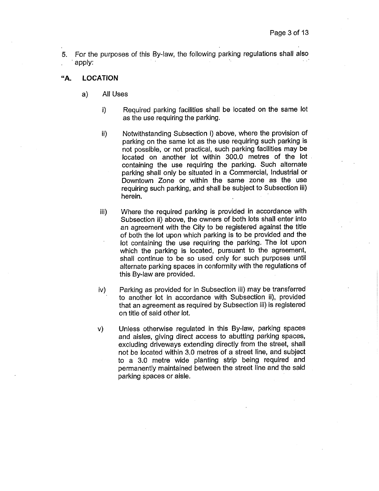5. For the purposes of this By-law, the following parking regulations shall also apply: " '

#### "A. LOCATION

- a) All Uses
	- $\mathbf{i}$ Required parking facilities shall be located on the same lot as the use requiring the parking.
	- ii) Notwithstanding Subsection i) above, where the provision of parking on the same lot as the use requiring such parking is not possible, or not practical, such parking facilities may be located on another lot within 300.0 metres of the lot containing the use requiring the parking. Such alternate parking shall only be situated in a Commercial, Industrial or Downtown Zone or within the same zone as the use requiring such parking, and shall be subject to Subsection iii) herein.
	- iii) Where the required parking is provided in accordance with Subsection ii) above, the owners of both lots shall enter into an agreement with the City to be registered against the title of both the lot upon which parking is to be provided and the lot containing the use requiring the parking. The lot upon which the parking is located, pursuant to the agreement, shall continue to be so used only for such purposes until alternate parking spaces in conformity with the regulations of this By-law are provided.
	- iv) Parking as provided for in Subsection iii) may be transferred to another lot in accordance with Subsection ii), provided that an agreement as required by Subsection iii) is registered on title of said other lot.
	- v) Unless otherwise regulated in this By-law, parking spaces and aisles, giving direct access to abutting parking spaces, excluding driveways extending directly from the street, shall not be located within 3.0 metres of a street line, and subject to a 3.0 metre wide planting strip being required and permanently maintained between the street line and the said parking spaces or aisle.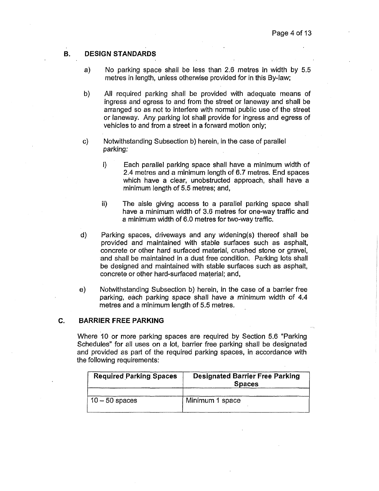### B. DESIGN STANDARDS

- a) No parking space shall be less than 2.6 metres in width by 5.5 metres in length, unless otherwise provided for in this By-law;
- b) All required parking shall be provided with adequate means of ingress and egress to and from the street or laneway and shall be arranged so as not to interfere with normal public use of the street or laneway. Any parking lot shall provide for ingress and egress of vehicles to and from a street in a forward motion only;
- c) Notwithstanding Subsection b) herein, in the case of parallel parking:
	- i) Each parallel parking space shall have a minimum width of 2.4 metres and a minimum length of 6.7 metres. End spaces which have a clear, unobstructed approach, shall have a minimum length of 5.5 metres; and,
	- ii) The aisle giving access to a parallel parking space shall have a minimum width of 3.6 metres for one-way traffic and a minimum width of 6.0 metres for two-way traffic.
- d) Parking spaces, driveways and any widening(s) thereof shall be provided and maintained with stable surfaces such as asphalt, concrete or other hard surfaced material, crushed stone or gravel, and shall be maintained in a dust free condition. Parking lots shall be designed and maintained with stable surfaces such as asphalt, concrete or other hard-surfaced material; and,
- e) Notwithstanding Subsection b) herein, in the case of a barrier free parking, each parking space shall have a minimum width of 4.4 metres and a minimum length of 5.5 metres.

#### C. BARRIER FREEPARKING

Where 10 or more parking spaces are required by Section 5.6 "Parking Schedules" for all uses on a lot, barrier free parking shall be designated and provided as part of the required parking spaces, in accordance with the following requirements:

| <b>Required Parking Spaces</b> | <b>Designated Barrier Free Parking</b><br><b>Spaces</b> |
|--------------------------------|---------------------------------------------------------|
| $10 - 50$ spaces               | Minimum 1 space                                         |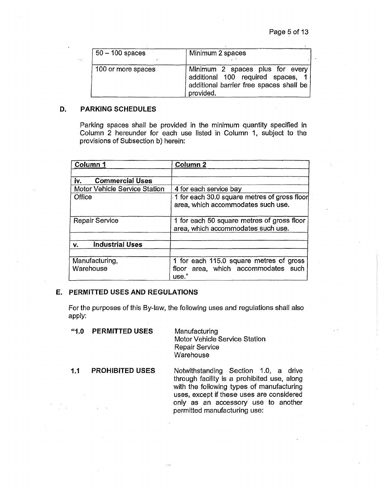| $50 - 100$ spaces  | Minimum 2 spaces                                                                                                             |
|--------------------|------------------------------------------------------------------------------------------------------------------------------|
| 100 or more spaces | Minimum 2 spaces plus for every<br>additional 100 required spaces, 1<br>additional barrier free spaces shall be<br>provided. |

## D, PARKING SCHEDULES

Parking spaces shall be provided in the minimum quantity specified in Column 2 hereunder for each use listed in Column 1, subject to the provisions of Subsection b) herein:

| Column 1                             | Column <sub>2</sub>                                                                     |
|--------------------------------------|-----------------------------------------------------------------------------------------|
|                                      |                                                                                         |
| <b>Commercial Uses</b><br>iv.        |                                                                                         |
| <b>Motor Vehicle Service Station</b> | 4 for each service bay                                                                  |
| Office                               | 1 for each 30.0 square metres of gross floor<br>area, which accommodates such use.      |
| <b>Repair Service</b>                | 1 for each 50 square metres of gross floor<br>area, which accommodates such use.        |
| <b>Industrial Uses</b><br>v.         |                                                                                         |
|                                      |                                                                                         |
| Manufacturing,<br>Warehouse          | 1 for each 115.0 square metres of gross<br>floor area, which accommodates such<br>use." |

## E. PERMITTED USES AND REGULATIONS

For the purposes of this By-law, the following uses and regulations shall also apply:

| 4.0 | <b>PERMITTED USES</b>  | Manufacturing<br><b>Motor Vehicle Service Station</b><br><b>Repair Service</b><br>Warehouse                                                                                                                                                          |
|-----|------------------------|------------------------------------------------------------------------------------------------------------------------------------------------------------------------------------------------------------------------------------------------------|
| 1.1 | <b>PROHIBITED USES</b> | Notwithstanding Section 1.0, a drive<br>through facility is a prohibited use, along<br>with the following types of manufacturing<br>uses, except if these uses are considered<br>only as an accessory use to another<br>permitted manufacturing use: |

i zu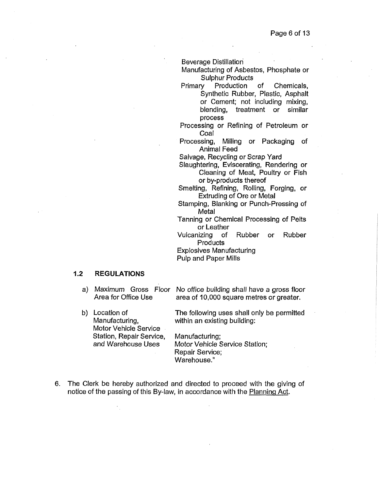Beverage Distillation

Manufacturing of Asbestos, Phosphate or Sulphur Products

Primary Production of Chemicals, Synthetic Rubber, Plastic, Asphalt or Cement; not including mixing, blending, treatment or similar process

- Processing or Refining of Petroleum or Coal
- Processing, Milling or Packaging of Animal Feed

Salvage, Recycling or Scrap Yard

- Slaughtering, Eviscerating, Rendering or Cleaning of Meat, Poultry or Fish or by-products thereof
- Smelting, Refining, Rolling, Forging, or Extruding of Ore or Metal
- Stamping, Blanking or Punch-Pressing of Metal

Tanning or Chemical Processing of Pelts or Leather

Vulcanizing of Rubber or Rubber **Products** 

Explosives Manufacturing Pulp and Paper Mills

#### 1.2 REGULATIONS

- a) Maximum Gross Floor No office building shall have a gross floor Area for Office Use area of 10,000 square metres or greater.
- b) Location of Manufacturing, Motor Vehicle Service Station, Repair Service, and Warehouse Uses The following uses shall only be permitted within an existing building: Manufacturing; Motor Vehicle Service Station; Repair Service; Warehouse."
- 6. The Clerk be hereby authorized and directed to proceed with the giving of notice of the passing of this By-law, in accordance with the Planning Act.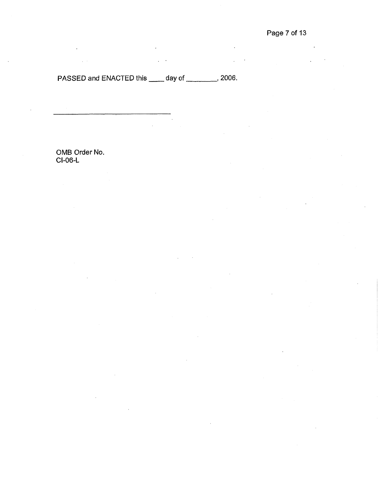# PASSED and ENACTED this \_\_\_\_\_ day of \_\_\_\_\_\_\_\_\_, 2006.

 $\ddot{\phantom{a}}$ 

OMB Order No. CI-06-L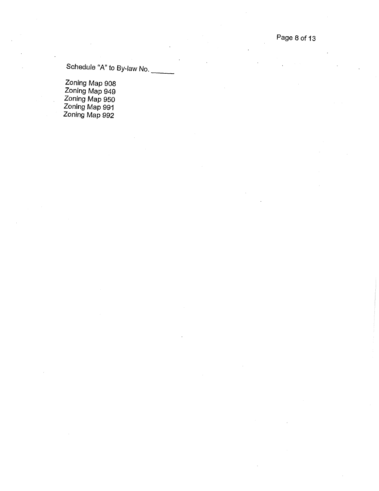Page 8 of 13

Schedule "A" to By-law No.

Zoning Map 908 Zoning Map 949 Zoning Map 950 Zoning Map 991 Zoning Map 992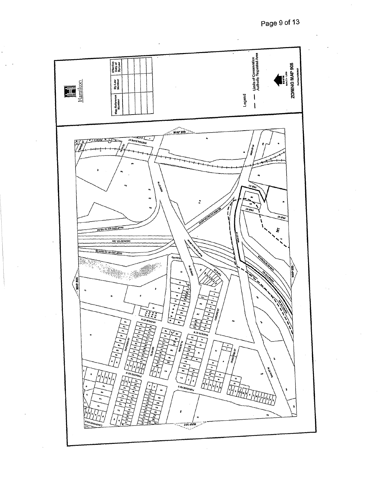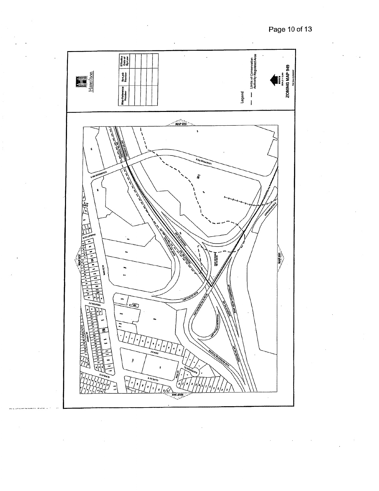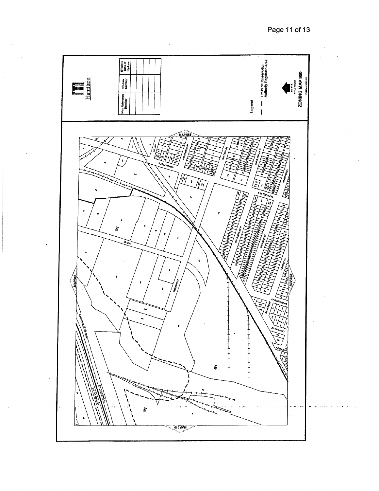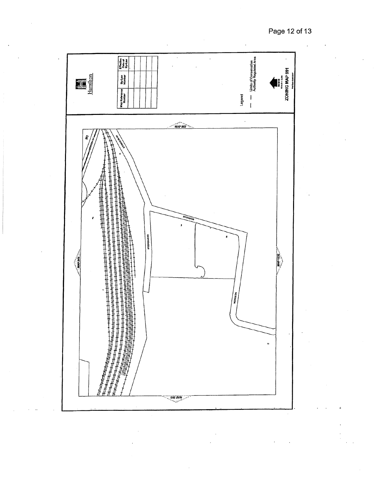